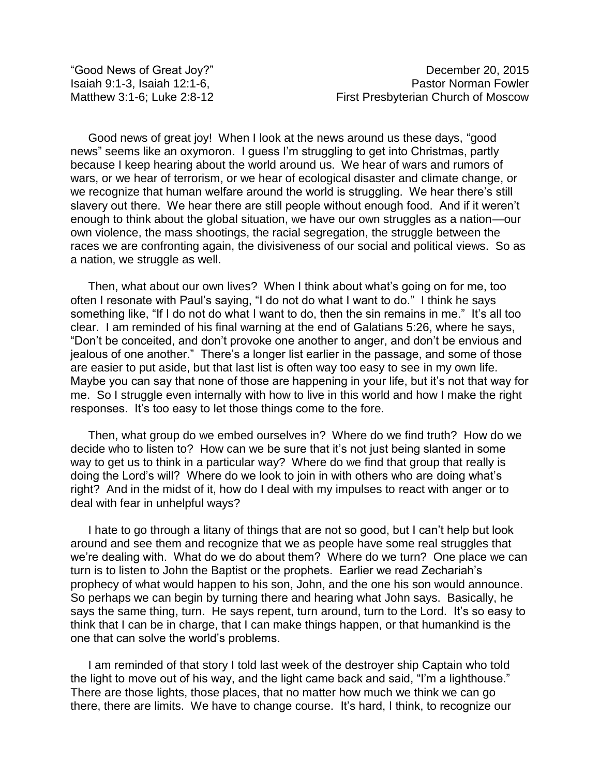Good news of great joy! When I look at the news around us these days, "good news" seems like an oxymoron. I guess I'm struggling to get into Christmas, partly because I keep hearing about the world around us. We hear of wars and rumors of wars, or we hear of terrorism, or we hear of ecological disaster and climate change, or we recognize that human welfare around the world is struggling. We hear there's still slavery out there. We hear there are still people without enough food. And if it weren't enough to think about the global situation, we have our own struggles as a nation—our own violence, the mass shootings, the racial segregation, the struggle between the races we are confronting again, the divisiveness of our social and political views. So as a nation, we struggle as well.

Then, what about our own lives? When I think about what's going on for me, too often I resonate with Paul's saying, "I do not do what I want to do." I think he says something like, "If I do not do what I want to do, then the sin remains in me." It's all too clear. I am reminded of his final warning at the end of Galatians 5:26, where he says, "Don't be conceited, and don't provoke one another to anger, and don't be envious and jealous of one another." There's a longer list earlier in the passage, and some of those are easier to put aside, but that last list is often way too easy to see in my own life. Maybe you can say that none of those are happening in your life, but it's not that way for me. So I struggle even internally with how to live in this world and how I make the right responses. It's too easy to let those things come to the fore.

Then, what group do we embed ourselves in? Where do we find truth? How do we decide who to listen to? How can we be sure that it's not just being slanted in some way to get us to think in a particular way? Where do we find that group that really is doing the Lord's will? Where do we look to join in with others who are doing what's right? And in the midst of it, how do I deal with my impulses to react with anger or to deal with fear in unhelpful ways?

I hate to go through a litany of things that are not so good, but I can't help but look around and see them and recognize that we as people have some real struggles that we're dealing with. What do we do about them? Where do we turn? One place we can turn is to listen to John the Baptist or the prophets. Earlier we read Zechariah's prophecy of what would happen to his son, John, and the one his son would announce. So perhaps we can begin by turning there and hearing what John says. Basically, he says the same thing, turn. He says repent, turn around, turn to the Lord. It's so easy to think that I can be in charge, that I can make things happen, or that humankind is the one that can solve the world's problems.

I am reminded of that story I told last week of the destroyer ship Captain who told the light to move out of his way, and the light came back and said, "I'm a lighthouse." There are those lights, those places, that no matter how much we think we can go there, there are limits. We have to change course. It's hard, I think, to recognize our